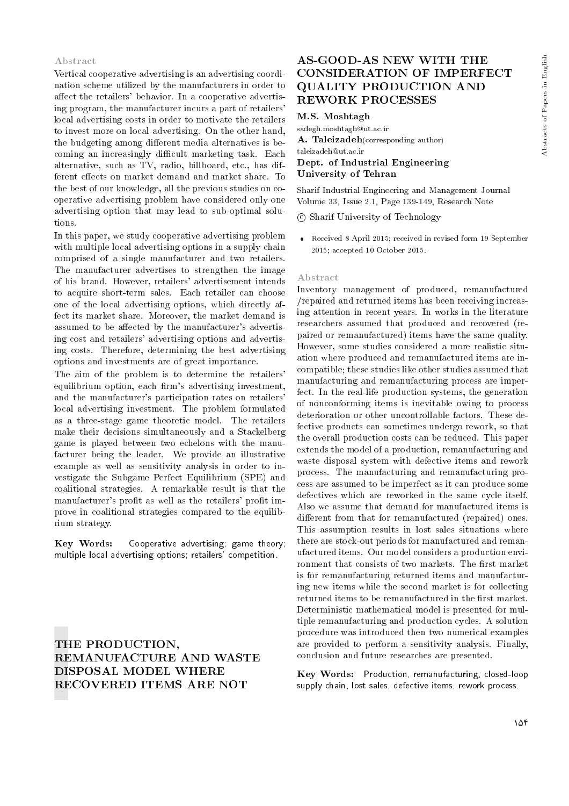# Abstracts of Papers in English Abstracts of Papers in English

#### Abstract

Vertical cooperative advertising is an advertising coordination scheme utilized by the manufacturers in order to affect the retailers' behavior. In a cooperative advertising program, the manufacturer incurs a part of retailers' local advertising costs in order to motivate the retailers to invest more on local advertising. On the other hand, the budgeting among different media alternatives is becoming an increasingly difficult marketing task. Each alternative, such as TV, radio, billboard, etc., has different effects on market demand and market share. To the best of our knowledge, all the previous studies on cooperative advertising problem have considered only one advertising option that may lead to sub-optimal solutions.

In this paper, we study cooperative advertising problem with multiple local advertising options in a supply chain comprised of a single manufacturer and two retailers. The manufacturer advertises to strengthen the image of his brand. However, retailers' advertisement intends to acquire short-term sales. Each retailer can choose one of the local advertising options, which directly affect its market share. Moreover, the market demand is assumed to be affected by the manufacturer's advertising cost and retailers' advertising options and advertising costs. Therefore, determining the best advertising options and investments are of great importance.

The aim of the problem is to determine the retailers' equilibrium option, each firm's advertising investment, and the manufacturer's participation rates on retailers' local advertising investment. The problem formulated as a three-stage game theoretic model. The retailers make their decisions simultaneously and a Stackelberg game is played between two echelons with the manufacturer being the leader. We provide an illustrative example as well as sensitivity analysis in order to investigate the Subgame Perfect Equilibrium (SPE) and coalitional strategies. A remarkable result is that the manufacturer's profit as well as the retailers' profit improve in coalitional strategies compared to the equilibrium strategy.

Key Words: Cooperative advertising; game theory; multiple local advertising options; retailers' competition.

THE PRODUCTION, REMANUFACTURE AND WASTE DISPOSAL MODEL WHERE RECOVERED ITEMS ARE NOT

# AS-GOOD-AS NEW WITH THE CONSIDERATION OF IMPERFECT QUALITY PRODUCTION AND REWORK PROCESSES

#### M.S. Moshtagh

sadegh.moshtagh@ut.ac.ir A. Taleizadeh(corresponding author) taleizadeh@ut.ac.ir Dept. of Industrial Engineering University of Tehran

Sharif Industrial Engineering and Management Journal Volume 33, Issue 2.1, Page 139-149, Research Note

c Sharif University of Technology

 Received 8 April 2015; received in revised form 19 September 2015; accepted 10 October 2015.

#### Abstract

Inventory management of produced, remanufactured /repaired and returned items has been receiving increasing attention in recent years. In works in the literature researchers assumed that produced and recovered (repaired or remanufactured) items have the same quality. However, some studies considered a more realistic situation where produced and remanufactured items are incompatible; these studies like other studies assumed that manufacturing and remanufacturing process are imperfect. In the real-life production systems, the generation of nonconforming items is inevitable owing to process deterioration or other uncontrollable factors. These defective products can sometimes undergo rework, so that the overall production costs can be reduced. This paper extends the model of a production, remanufacturing and waste disposal system with defective items and rework process. The manufacturing and remanufacturing process are assumed to be imperfect as it can produce some defectives which are reworked in the same cycle itself. Also we assume that demand for manufactured items is different from that for remanufactured (repaired) ones. This assumption results in lost sales situations where there are stock-out periods for manufactured and remanufactured items. Our model considers a production environment that consists of two markets. The first market is for remanufacturing returned items and manufacturing new items while the second market is for collecting returned items to be remanufactured in the first market. Deterministic mathematical model is presented for multiple remanufacturing and production cycles. A solution procedure was introduced then two numerical examples are provided to perform a sensitivity analysis. Finally, conclusion and future researches are presented.

Key Words: Production, remanufacturing, closed-loop supply chain, lost sales, defective items, rework process.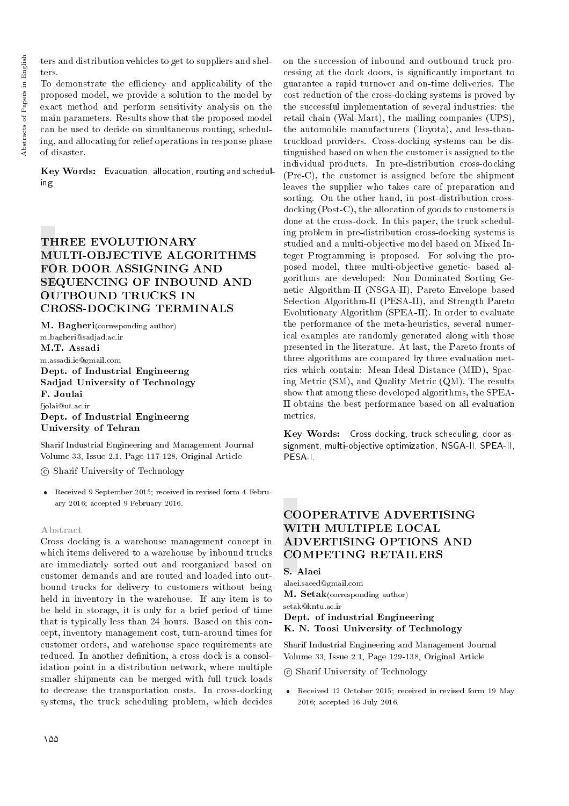ters and distribution vehicles to get to suppliers and shelters.

To demonstrate the efficiency and applicability of the proposed model, we provide a solution to the model by exact method and perform sensitivity analysis on the main parameters. Results show that the proposed model can be used to decide on simultaneous routing, scheduling, and allocating for relief operations in response phase of disaster.

Key Words: Evacuation, allocation, routing and scheduling.

# THREE EVOLUTIONARY MULTI-OBJECTIVE ALGORITHMS FOR DOOR ASSIGNING AND SEQUENCING OF INBOUND AND OUTBOUND TRUCKS IN CROSS-DOCKING TERMINALS

M. Bagheri(corresponding author) m bagheri@sadjad.ac.ir M.T. Assadi m.assadi.ie@gmail.com Dept. of Industrial Engineerng Sadjad University of Technology F. Joulai fjolai@ut.ac.ir Dept. of Industrial Engineerng University of Tehran

Sharif Industrial Engineering and Management Journal Volume 33, Issue 2.1, Page 117-128, Original Article

c Sharif University of Technology

 Received 9 September 2015; received in revised form 4 February 2016; accepted 9 February 2016.

### Abstract

Cross docking is a warehouse management concept in which items delivered to a warehouse by inbound trucks are immediately sorted out and reorganized based on customer demands and are routed and loaded into outbound trucks for delivery to customers without being held in inventory in the warehouse. If any item is to be held in storage, it is only for a brief period of time that is typically less than 24 hours. Based on this concept, inventory management cost, turn-around times for customer orders, and warehouse space requirements are reduced. In another definition, a cross dock is a consolidation point in a distribution network, where multiple smaller shipments can be merged with full truck loads to decrease the transportation costs. In cross-docking systems, the truck scheduling problem, which decides on the succession of inbound and outbound truck processing at the dock doors, is signicantly important to guarantee a rapid turnover and on-time deliveries. The cost reduction of the cross-docking systems is proved by the successful implementation of several industries: the retail chain (Wal-Mart), the mailing companies (UPS), the automobile manufacturers (Toyota), and less-thantruckload providers. Cross-docking systems can be distinguished based on when the customer is assigned to the individual products. In pre-distribution cross-docking (Pre-C), the customer is assigned before the shipment leaves the supplier who takes care of preparation and sorting. On the other hand, in post-distribution crossdocking (Post-C), the allocation of goods to customers is done at the cross-dock. In this paper, the truck scheduling problem in pre-distribution cross-docking systems is studied and a multi-objective model based on Mixed Integer Programming is proposed. For solving the proposed model, three multi-objective genetic- based algorithms are developed: Non Dominated Sorting Genetic Algorithm-II (NSGA-II), Pareto Envelope based Selection Algorithm-II (PESA-II), and Strength Pareto Evolutionary Algorithm (SPEA-II). In order to evaluate the performance of the meta-heuristics, several numerical examples are randomly generated along with those presented in the literature. At last, the Pareto fronts of three algorithms are compared by three evaluation metrics which contain: Mean Ideal Distance (MID), Spacing Metric (SM), and Quality Metric (QM). The results show that among these developed algorithms, the SPEA-II obtains the best performance based on all evaluation metrics.

Key Words: Cross docking, truck scheduling, door assignment, multi-objective optimization, NSGA-II, SPEA-II, PESA-I.

# COOPERATIVE ADVERTISING WITH MULTIPLE LOCAL ADVERTISING OPTIONS AND COMPETING RETAILERS

# S. Alaei

alaei.saeed@gmail.com M. Setak(corresponding author)

# setak@kntu.ac.ir

# Dept. of industrial Engineering K. N. Toosi University of Technology

Sharif Industrial Engineering and Management Journal Volume 33, Issue 2.1, Page 129-138, Original Article

# c Sharif University of Technology

 Received 12 October 2015; received in revised form 19 May 2016; accepted 16 July 2016.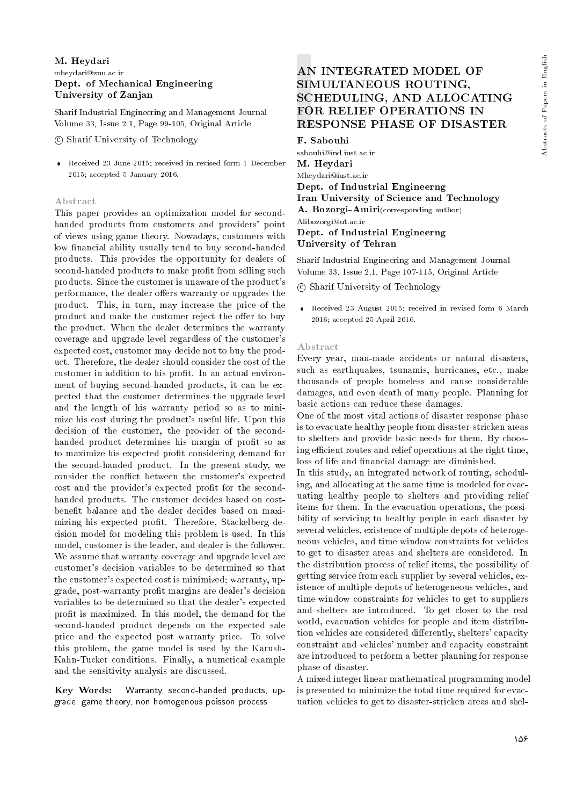### M. Heydari mheydari@znu.ac.ir Dept. of Mechanical Engineering University of Zanjan

Sharif Industrial Engineering and Management Journal Volume 33, Issue 2.1, Page 99-105, Original Article

c Sharif University of Technology

 Received 23 June 2015; received in revised form 1 December 2015; accepted 5 January 2016.

#### Abstract

This paper provides an optimization model for secondhanded products from customers and providers' point of views using game theory. Nowadays, customers with low financial ability usually tend to buy second-handed products. This provides the opportunity for dealers of second-handed products to make profit from selling such products. Since the customer is unaware of the product's performance, the dealer offers warranty or upgrades the product. This, in turn, may increase the price of the product and make the customer reject the offer to buy the product. When the dealer determines the warranty coverage and upgrade level regardless of the customer's expected cost, customer may decide not to buy the product. Therefore, the dealer should consider the cost of the customer in addition to his profit. In an actual environment of buying second-handed products, it can be expected that the customer determines the upgrade level and the length of his warranty period so as to minimize his cost during the product's useful life. Upon this decision of the customer, the provider of the secondhanded product determines his margin of profit so as to maximize his expected prot considering demand for the second-handed product. In the present study, we consider the con
ict between the customer's expected cost and the provider's expected profit for the secondhanded products. The customer decides based on costbenet balance and the dealer decides based on maximizing his expected profit. Therefore, Stackelberg decision model for modeling this problem is used. In this model, customer is the leader, and dealer is the follower. We assume that warranty coverage and upgrade level are customer's decision variables to be determined so that the customer's expected cost is minimized; warranty, upgrade, post-warranty prot margins are dealer's decision variables to be determined so that the dealer's expected profit is maximized. In this model, the demand for the second-handed product depends on the expected sale price and the expected post warranty price. To solve this problem, the game model is used by the Karush-Kahn-Tucker conditions. Finally, a numerical example and the sensitivity analysis are discussed.

Key Words: Warranty, second-handed products, upgrade, game theory, non homogenous poisson process.

# AN INTEGRATED MODEL OF SIMULTANEOUS ROUTING, SCHEDULING, AND ALLOCATING FOR RELIEF OPERATIONS IN RESPONSE PHASE OF DISASTER

F. Sabouhi sabouhi@ind.iust.ac.ir M. Heydari Mheydari@iust.ac.ir Dept. of Industrial Engineerng Iran University of Science and Technology A. Bozorgi-Amiri(corresponding author) Alibozorgi@ut.ac.ir Dept. of Industrial Engineerng University of Tehran

Sharif Industrial Engineering and Management Journal Volume 33, Issue 2.1, Page 107-115, Original Article

c Sharif University of Technology

 Received 23 August 2015; received in revised form 6 March 2016; accepted 25 April 2016.

#### Abstract

Every year, man-made accidents or natural disasters, such as earthquakes, tsunamis, hurricanes, etc., make thousands of people homeless and cause considerable damages, and even death of many people. Planning for basic actions can reduce these damages.

One of the most vital actions of disaster response phase is to evacuate healthy people from disaster-stricken areas to shelters and provide basic needs for them. By choosing efficient routes and relief operations at the right time, loss of life and financial damage are diminished.

In this study, an integrated network of routing, scheduling, and allocating at the same time is modeled for evacuating healthy people to shelters and providing relief items for them. In the evacuation operations, the possibility of servicing to healthy people in each disaster by several vehicles, existence of multiple depots of heterogeneous vehicles, and time window constraints for vehicles to get to disaster areas and shelters are considered. In the distribution process of relief items, the possibility of getting service from each supplier by several vehicles, existence of multiple depots of heterogeneous vehicles, and time-window constraints for vehicles to get to suppliers and shelters are introduced. To get closer to the real world, evacuation vehicles for people and item distribution vehicles are considered differently, shelters' capacity constraint and vehicles' number and capacity constraint are introduced to perform a better planning for response phase of disaster.

A mixed integer linear mathematical programming model is presented to minimize the total time required for evacuation vehicles to get to disaster-stricken areas and shel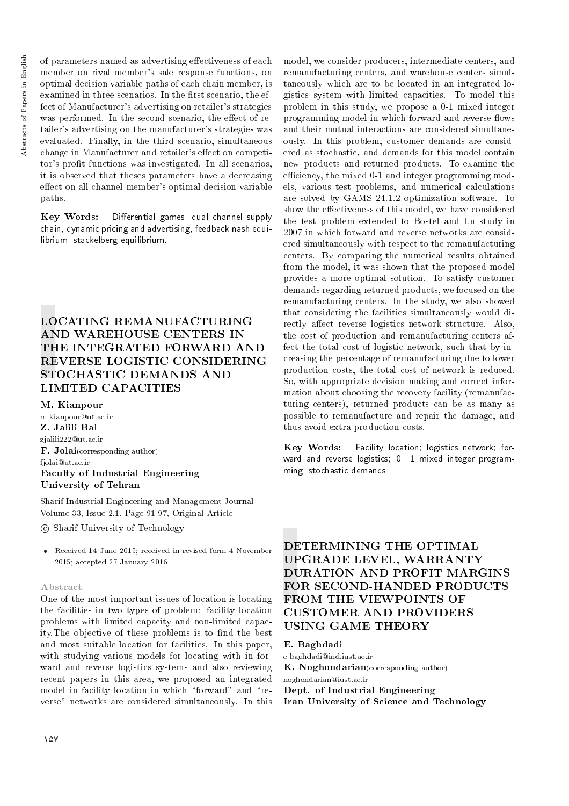of parameters named as advertising effectiveness of each member on rival member's sale response functions, on optimal decision variable paths of each chain member, is examined in three scenarios. In the first scenario, the effect of Manufacturer's advertising on retailer's strategies was performed. In the second scenario, the effect of retailer's advertising on the manufacturer's strategies was evaluated. Finally, in the third scenario, simultaneous change in Manufacturer and retailer's effect on competitor's prot functions was investigated. In all scenarios, it is observed that theses parameters have a decreasing effect on all channel member's optimal decision variable paths.

Key Words: Differential games, dual channel supply chain, dynamic pricing and advertising, feedback nash equilibrium, stackelberg equilibrium.

# LOCATING REMANUFACTURING AND WAREHOUSE CENTERS IN THE INTEGRATED FORWARD AND REVERSE LOGISTIC CONSIDERING STOCHASTIC DEMANDS AND LIMITED CAPACITIES

M. Kianpour

m.kianpour@ut.ac.ir Z. Jalili Bal zjalili222@ut.ac.ir F. Jolai(corresponding author) fjolai@ut.ac.ir Faculty of Industrial Engineering University of Tehran

Sharif Industrial Engineering and Management Journal Volume 33, Issue 2.1, Page 91-97, Original Article

c Sharif University of Technology

 Received 14 June 2015; received in revised form 4 November 2015; accepted 27 January 2016.

#### Abstract

One of the most important issues of location is locating the facilities in two types of problem: facility location problems with limited capacity and non-limited capacity. The objective of these problems is to find the best and most suitable location for facilities. In this paper, with studying various models for locating with in forward and reverse logistics systems and also reviewing recent papers in this area, we proposed an integrated model in facility location in which "forward" and "reverse" networks are considered simultaneously. In this model, we consider producers, intermediate centers, and remanufacturing centers, and warehouse centers simultaneously which are to be located in an integrated logistics system with limited capacities. To model this problem in this study, we propose a 0-1 mixed integer programming model in which forward and reverse flows and their mutual interactions are considered simultaneously. In this problem, customer demands are considered as stochastic, and demands for this model contain new products and returned products. To examine the efficiency, the mixed 0-1 and integer programming models, various test problems, and numerical calculations are solved by GAMS 24.1.2 optimization software. To show the effectiveness of this model, we have considered the test problem extended to Bostel and Lu study in 2007 in which forward and reverse networks are considered simultaneously with respect to the remanufacturing centers. By comparing the numerical results obtained from the model, it was shown that the proposed model provides a more optimal solution. To satisfy customer demands regarding returned products, we focused on the remanufacturing centers. In the study, we also showed that considering the facilities simultaneously would directly affect reverse logistics network structure. Also, the cost of production and remanufacturing centers affect the total cost of logistic network, such that by increasing the percentage of remanufacturing due to lower production costs, the total cost of network is reduced. So, with appropriate decision making and correct information about choosing the recovery facility (remanufacturing centers), returned products can be as many as possible to remanufacture and repair the damage, and thus avoid extra production costs.

Key Words: Facility location; logistics network; forward and reverse logistics;  $0-1$  mixed integer programming; stochastic demands.

# DETERMINING THE OPTIMAL UPGRADE LEVEL, WARRANTY DURATION AND PROFIT MARGINS FOR SECOND-HANDED PRODUCTS FROM THE VIEWPOINTS OF CUSTOMER AND PROVIDERS USING GAME THEORY

E. Baghdadi e baghdadi@ind.iust.ac.ir K. Noghondarian(corresponding author) noghondarian@iust.ac.ir Dept. of Industrial Engineering Iran University of Science and Technology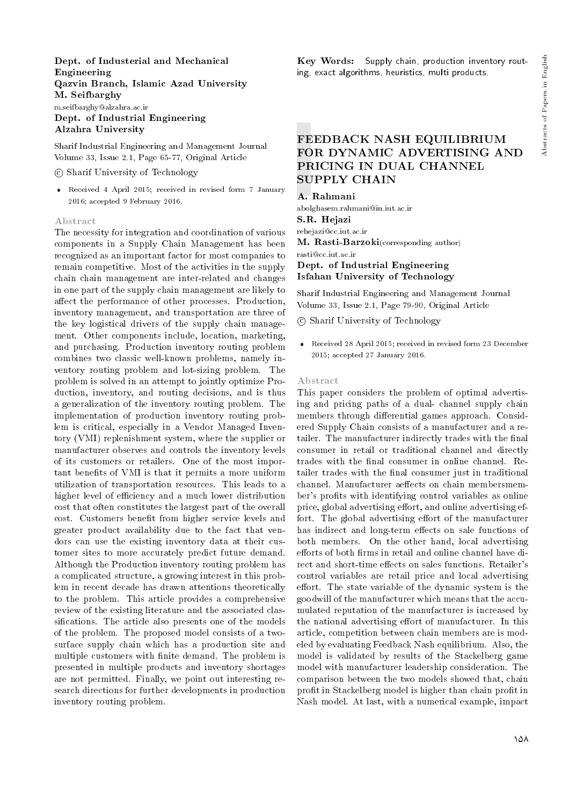## Dept. of Industerial and Mechanical Engineering Qazvin Branch, Islamic Azad University M. Seifbarghy m.seifbarghy@alzahra.ac.ir Dept. of Industrial Engineering Alzahra University

Sharif Industrial Engineering and Management Journal Volume 33, Issue 2.1, Page 65-77, Original Article

#### c Sharif University of Technology

 Received 4 April 2015; received in revised form 7 January 2016; accepted 9 February 2016.

#### Abstract

The necessity for integration and coordination of various components in a Supply Chain Management has been recognized as an important factor for most companies to remain competitive. Most of the activities in the supply chain chain management are inter-related and changes in one part of the supply chain management are likely to affect the performance of other processes. Production, inventory management, and transportation are three of the key logistical drivers of the supply chain management. Other components include, location, marketing, and purchasing. Production inventory routing problem combines two classic well-known problems, namely inventory routing problem and lot-sizing problem. The problem is solved in an attempt to jointly optimize Production, inventory, and routing decisions, and is thus a generalization of the inventory routing problem. The implementation of production inventory routing problem is critical, especially in a Vendor Managed Inventory (VMI) replenishment system, where the supplier or manufacturer observes and controls the inventory levels of its customers or retailers. One of the most important benefits of VMI is that it permits a more uniform utilization of transportation resources. This leads to a higher level of efficiency and a much lower distribution cost that often constitutes the largest part of the overall cost. Customers benet from higher service levels and greater product availability due to the fact that vendors can use the existing inventory data at their customer sites to more accurately predict future demand. Although the Production inventory routing problem has a complicated structure, a growing interest in this problem in recent decade has drawn attentions theoretically to the problem. This article provides a comprehensive review of the existing literature and the associated classifications. The article also presents one of the models of the problem. The proposed model consists of a twosurface supply chain which has a production site and multiple customers with finite demand. The problem is presented in multiple products and inventory shortages are not permitted. Finally, we point out interesting research directions for further developments in production inventory routing problem.

Key Words: Supply chain, production inventory routing, exact algorithms, heuristics, multi products.

# FEEDBACK NASH EQUILIBRIUM FOR DYNAMIC ADVERTISING AND PRICING IN DUAL CHANNEL SUPPLY CHAIN

A. Rahmani abolghasem.rahmani@in.iut.ac.ir S.R. Hejazi

#### rehejazi@cc.iut.ac.ir

M. Rasti-Barzoki(corresponding author) rasti@cc.iut.ac.ir

# Dept. of Industrial Engineering Isfahan University of Technology

Sharif Industrial Engineering and Management Journal Volume 33, Issue 2.1, Page 79-90, Original Article

c Sharif University of Technology

 Received 28 April 2015; received in revised form 23 December 2015; accepted 27 January 2016.

#### Abstract

This paper considers the problem of optimal advertising and pricing paths of a dual- channel supply chain members through differential games approach. Considered Supply Chain consists of a manufacturer and a retailer. The manufacturer indirectly trades with the final consumer in retail or traditional channel and directly trades with the final consumer in online channel. Retailer trades with the final consumer just in traditional channel. Manufacturer aeffects on chain membersmember's profits with identifying control variables as online price, global advertising effort, and online advertising effort. The global advertising effort of the manufacturer has indirect and long-term effects on sale functions of both members. On the other hand, local advertising efforts of both firms in retail and online channel have direct and short-time effects on sales functions. Retailer's control variables are retail price and local advertising effort. The state variable of the dynamic system is the goodwill of the manufacturer which means that the accumulated reputation of the manufacturer is increased by the national advertising effort of manufacturer. In this article, competition between chain members are is modeled by evaluating Feedback Nash equilibrium. Also, the model is validated by results of the Stackelberg game model with manufacturer leadership consideration. The comparison between the two models showed that, chain profit in Stackelberg model is higher than chain profit in Nash model. At last, with a numerical example, impact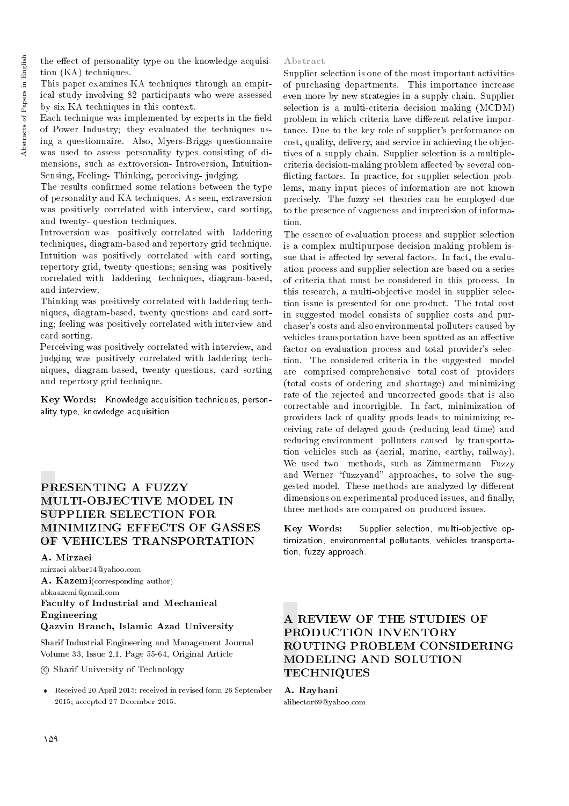the effect of personality type on the knowledge acquisition (KA) techniques.

This paper examines KA techniques through an empirical study involving 82 participants who were assessed by six KA techniques in this context.

Each technique was implemented by experts in the field of Power Industry; they evaluated the techniques using a questionnaire. Also, Myers-Briggs questionnaire was used to assess personality types consisting of dimensions, such as extroversion- Introversion, Intuition-Sensing, Feeling- Thinking, perceiving- judging.

The results confirmed some relations between the type of personality and KA techniques. As seen, extraversion was positively correlated with interview, card sorting, and twenty- question techniques.

Introversion was positively correlated with laddering techniques, diagram-based and repertory grid technique. Intuition was positively correlated with card sorting, repertory grid, twenty questions; sensing was positively correlated with laddering techniques, diagram-based, and interview.

Thinking was positively correlated with laddering techniques, diagram-based, twenty questions and card sorting; feeling was positively correlated with interview and card sorting.

Perceiving was positively correlated with interview, and judging was positively correlated with laddering techniques, diagram-based, twenty questions, card sorting and repertory grid technique.

Key Words: Knowledge acquisition techniques, personality type, knowledge acquisition.

# PRESENTING A FUZZY MULTI-OBJECTIVE MODEL IN SUPPLIER SELECTION FOR MINIMIZING EFFECTS OF GASSES OF VEHICLES TRANSPORTATION

#### A. Mirzaei

mirzaei akbar14@yahoo.com A. Kazemi(corresponding author) abkaazemi@gmail.com Faculty of Industrial and Mechanical Engineering Qazvin Branch, Islamic Azad University

Sharif Industrial Engineering and Management Journal Volume 33, Issue 2.1, Page 55-64, Original Article

c Sharif University of Technology

 Received 20 April 2015; received in revised form 26 September 2015; accepted 27 December 2015.

#### Abstract

Supplier selection is one of the most important activities of purchasing departments. This importance increase even more by new strategies in a supply chain. Supplier selection is a multi-criteria decision making (MCDM) problem in which criteria have different relative importance. Due to the key role of supplier's performance on cost, quality, delivery, and service in achieving the objectives of a supply chain. Supplier selection is a multiplecriteria decision-making problem affected by several conflicting factors. In practice, for supplier selection problems, many input pieces of information are not known precisely. The fuzzy set theories can be employed due to the presence of vagueness and imprecision of information.

The essence of evaluation process and supplier selection is a complex multipurpose decision making problem issue that is affected by several factors. In fact, the evaluation process and supplier selection are based on a series of criteria that must be considered in this process. In this research, a multi-objective model in supplier selection issue is presented for one product. The total cost in suggested model consists of supplier costs and purchaser's costs and also environmental polluters caused by vehicles transportation have been spotted as an affective factor on evaluation process and total provider's selection. The considered criteria in the suggested model are comprised comprehensive total cost of providers (total costs of ordering and shortage) and minimizing rate of the rejected and uncorrected goods that is also correctable and incorrigible. In fact, minimization of providers lack of quality goods leads to minimizing receiving rate of delayed goods (reducing lead time) and reducing environment polluters caused by transportation vehicles such as (aerial, marine, earthy, railway). We used two methods, such as Zimmermann Fuzzy and Werner "fuzzyand" approaches, to solve the suggested model. These methods are analyzed by different dimensions on experimental produced issues, and finally, three methods are compared on produced issues.

Key Words: Supplier selection, multi-objective optimization, environmental pollutants, vehicles transportation, fuzzy approach.

# A REVIEW OF THE STUDIES OF PRODUCTION INVENTORY ROUTING PROBLEM CONSIDERING MODELING AND SOLUTION **TECHNIQUES**

# A. Rayhani

alihector69@yahoo.com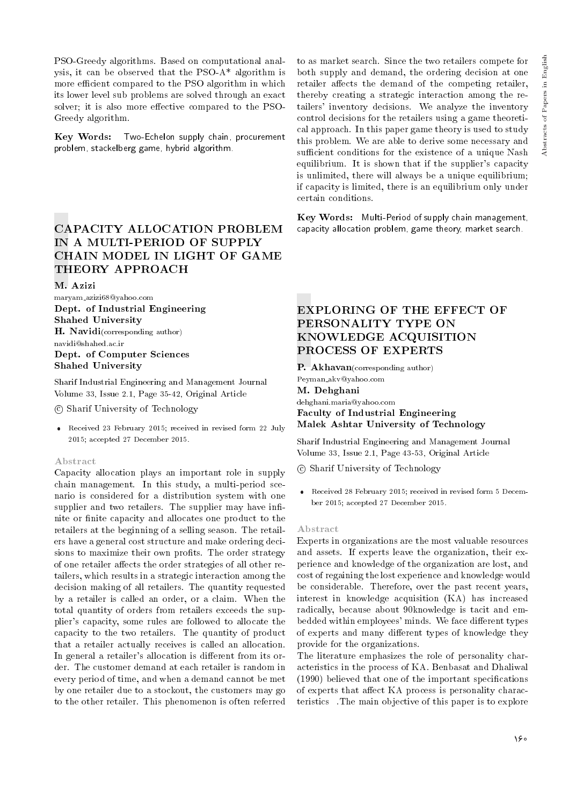PSO-Greedy algorithms. Based on computational analysis, it can be observed that the PSO-A\* algorithm is more efficient compared to the PSO algorithm in which its lower level sub problems are solved through an exact solver; it is also more effective compared to the PSO-Greedy algorithm.

Key Words: Two-Echelon supply chain, procurement problem, stackelberg game, hybrid algorithm.

# CAPACITY ALLOCATION PROBLEM IN A MULTI-PERIOD OF SUPPLY CHAIN MODEL IN LIGHT OF GAME THEORY APPROACH

#### M. Azizi

maryam azizi68@yahoo.com Dept. of Industrial Engineering Shahed University H. Navidi(corresponding author) navidi@shahed.ac.ir Dept. of Computer Sciences Shahed University

Sharif Industrial Engineering and Management Journal Volume 33, Issue 2.1, Page 35-42, Original Article

c Sharif University of Technology

 Received 23 February 2015; received in revised form 22 July 2015; accepted 27 December 2015.

#### Abstract

Capacity allocation plays an important role in supply chain management. In this study, a multi-period scenario is considered for a distribution system with one supplier and two retailers. The supplier may have infinite or nite capacity and allocates one product to the retailers at the beginning of a selling season. The retailers have a general cost structure and make ordering decisions to maximize their own profits. The order strategy of one retailer affects the order strategies of all other retailers, which results in a strategic interaction among the decision making of all retailers. The quantity requested by a retailer is called an order, or a claim. When the total quantity of orders from retailers exceeds the supplier's capacity, some rules are followed to allocate the capacity to the two retailers. The quantity of product that a retailer actually receives is called an allocation. In general a retailer's allocation is different from its order. The customer demand at each retailer is random in every period of time, and when a demand cannot be met by one retailer due to a stockout, the customers may go to the other retailer. This phenomenon is often referred

to as market search. Since the two retailers compete for both supply and demand, the ordering decision at one retailer affects the demand of the competing retailer, thereby creating a strategic interaction among the retailers' inventory decisions. We analyze the inventory control decisions for the retailers using a game theoretical approach. In this paper game theory is used to study this problem. We are able to derive some necessary and sufficient conditions for the existence of a unique Nash equilibrium. It is shown that if the supplier's capacity is unlimited, there will always be a unique equilibrium; if capacity is limited, there is an equilibrium only under certain conditions.

Key Words: Multi-Period of supply chain management, capacity allocation problem, game theory, market search.

# EXPLORING OF THE EFFECT OF PERSONALITY TYPE ON KNOWLEDGE ACQUISITION PROCESS OF EXPERTS

P. Akhavan(corresponding author) Peyman akv@yahoo.com M. Dehghani dehghani.maria@yahoo.com Faculty of Industrial Engineering Malek Ashtar University of Technology

Sharif Industrial Engineering and Management Journal Volume 33, Issue 2.1, Page 43-53, Original Article

c Sharif University of Technology

 Received 28 February 2015; received in revised form 5 December 2015; accepted 27 December 2015.

#### Abstract

Experts in organizations are the most valuable resources and assets. If experts leave the organization, their experience and knowledge of the organization are lost, and cost of regaining the lost experience and knowledge would be considerable. Therefore, over the past recent years, interest in knowledge acquisition (KA) has increased radically, because about 90knowledge is tacit and embedded within employees' minds. We face different types of experts and many different types of knowledge they provide for the organizations.

The literature emphasizes the role of personality characteristics in the process of KA. Benbasat and Dhaliwal (1990) believed that one of the important specifications of experts that affect KA process is personality characteristics The main objective of this paper is to explore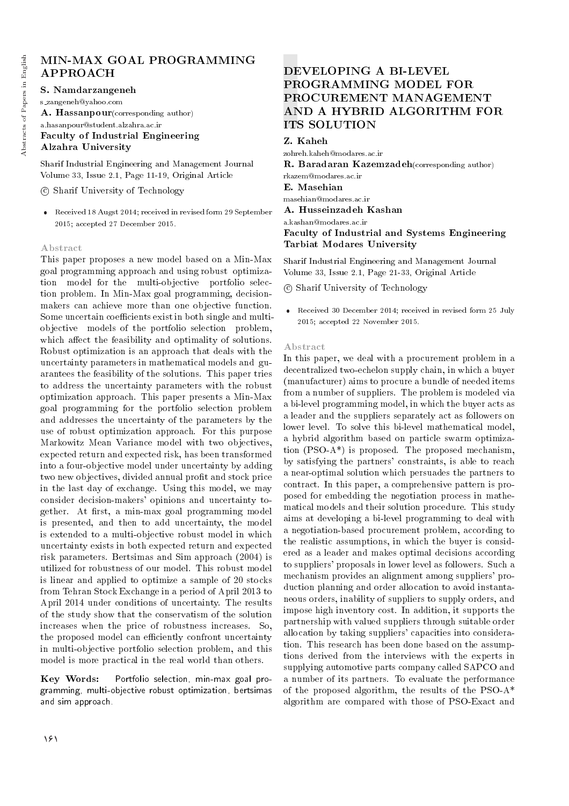# MIN-MAX GOAL PROGRAMMING APPROACH

S. Namdarzangeneh s zangeneh@yahoo.com A. Hassanpour(corresponding author) a.hasanpour@student.alzahra.ac.ir Faculty of Industrial Engineering Alzahra University

Sharif Industrial Engineering and Management Journal Volume 33, Issue 2.1, Page 11-19, Original Article

c Sharif University of Technology

 Received 18 Augst 2014; received in revised form 29 September 2015; accepted 27 December 2015.

#### Abstract

This paper proposes a new model based on a Min-Max goal programming approach and using robust optimization model for the multi-objective portfolio selection problem. In Min-Max goal programming, decisionmakers can achieve more than one objective function. Some uncertain coefficients exist in both single and multiobjective models of the portfolio selection problem, which affect the feasibility and optimality of solutions. Robust optimization is an approach that deals with the uncertainty parameters in mathematical models and guarantees the feasibility of the solutions. This paper tries to address the uncertainty parameters with the robust optimization approach. This paper presents a Min-Max goal programming for the portfolio selection problem and addresses the uncertainty of the parameters by the use of robust optimization approach. For this purpose Markowitz Mean Variance model with two objectives, expected return and expected risk, has been transformed into a four-objective model under uncertainty by adding two new objectives, divided annual profit and stock price in the last day of exchange. Using this model, we may consider decision-makers' opinions and uncertainty together. At first, a min-max goal programming model is presented, and then to add uncertainty, the model is extended to a multi-objective robust model in which uncertainty exists in both expected return and expected risk parameters. Bertsimas and Sim approach (2004) is utilized for robustness of our model. This robust model is linear and applied to optimize a sample of 20 stocks from Tehran Stock Exchange in a period of April 2013 to April 2014 under conditions of uncertainty. The results of the study show that the conservatism of the solution increases when the price of robustness increases. So, the proposed model can efficiently confront uncertainty in multi-objective portfolio selection problem, and this model is more practical in the real world than others.

Key Words: Portfolio selection, min-max goal programming, multi-objective robust optimization, bertsimas and sim approach.

# DEVELOPING A BI-LEVEL PROGRAMMING MODEL FOR PROCUREMENT MANAGEMENT AND A HYBRID ALGORITHM FOR ITS SOLUTION

Z. Kaheh

zohreh.kaheh@modares.ac.ir R. Baradaran Kazemzadeh(corresponding author) rkazem@modares.ac.ir E. Masehian masehian@modares.ac.ir A. Husseinzadeh Kashan a.kashan@modares.ac.ir Faculty of Industrial and Systems Engineering Tarbiat Modares University

Sharif Industrial Engineering and Management Journal Volume 33, Issue 2.1, Page 21-33, Original Article

c Sharif University of Technology

 Received 30 December 2014; received in revised form 25 July 2015; accepted 22 November 2015.

#### Abstract

In this paper, we deal with a procurement problem in a decentralized two-echelon supply chain, in which a buyer (manufacturer) aims to procure a bundle of needed items from a number of suppliers. The problem is modeled via a bi-level programming model, in which the buyer acts as a leader and the suppliers separately act as followers on lower level. To solve this bi-level mathematical model, a hybrid algorithm based on particle swarm optimization  $(PSO-A^*)$  is proposed. The proposed mechanism, by satisfying the partners' constraints, is able to reach a near-optimal solution which persuades the partners to contract. In this paper, a comprehensive pattern is proposed for embedding the negotiation process in mathematical models and their solution procedure. This study aims at developing a bi-level programming to deal with a negotiation-based procurement problem, according to the realistic assumptions, in which the buyer is considered as a leader and makes optimal decisions according to suppliers' proposals in lower level as followers. Such a mechanism provides an alignment among suppliers' production planning and order allocation to avoid instantaneous orders, inability of suppliers to supply orders, and impose high inventory cost. In addition, it supports the partnership with valued suppliers through suitable order allocation by taking suppliers' capacities into consideration. This research has been done based on the assumptions derived from the interviews with the experts in supplying automotive parts company called SAPCO and a number of its partners. To evaluate the performance of the proposed algorithm, the results of the PSO-A\* algorithm are compared with those of PSO-Exact and